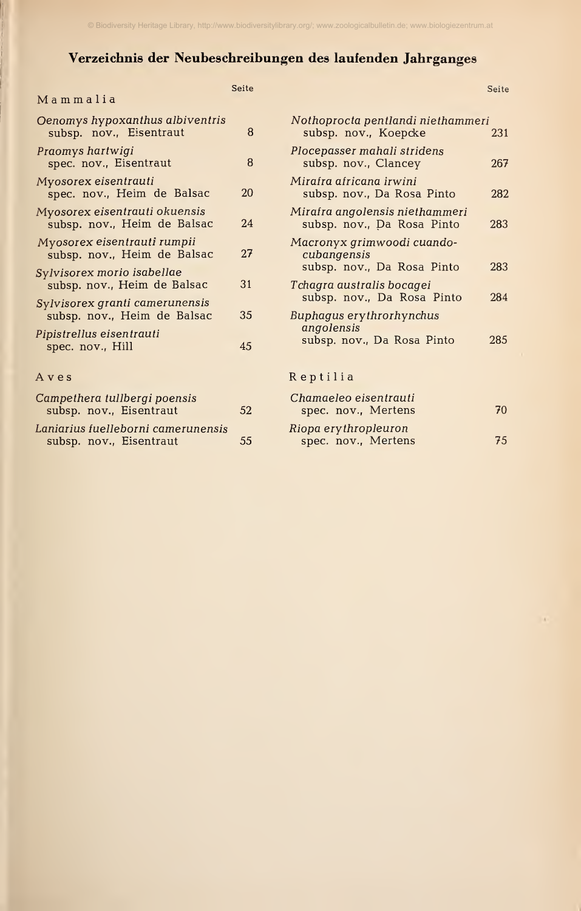## Verzeichnis der Neubeschreibungen des laufenden Jahrganges

| Mammalia                                                      | Seite        |
|---------------------------------------------------------------|--------------|
| Oenomys hypoxanthus albiventris<br>subsp. nov., Eisentraut    | 8            |
| Praomys hartwigi<br>spec. nov., Eisentraut                    | 8            |
| Myosorex eisentrauti<br>spec. nov., Heim de Balsac            | $20^{\circ}$ |
| Myosorex eisentrauti okuensis<br>subsp. nov., Heim de Balsac  | 24           |
| Myosorex eisentrauti rumpii<br>subsp. nov., Heim de Balsac    | 27           |
| Sylvisorex morio isabellae<br>subsp. nov., Heim de Balsac     | 31           |
| Sylvisorex granti camerunensis<br>subsp. nov., Heim de Balsac | 35           |
| Pipistrellus eisentrauti<br>spec. nov., Hill                  | 45           |
| Aves                                                          |              |
| Campathora tullborgi poopsis                                  |              |

| Campethera tullbergi poensis<br>subsp. nov., Eisentraut       | <sup>52</sup> | Chamaeleo eisentrauti<br>spec. nov., Mertens |
|---------------------------------------------------------------|---------------|----------------------------------------------|
| Laniarius fuelleborni camerunensis<br>subsp. nov., Eisentraut | 55            | Riopa erythropleuron<br>spec. nov., Mertens  |

| Nothoprocta pentlandi niethammeri<br>subsp. nov., Koepcke               | 231 |
|-------------------------------------------------------------------------|-----|
| Plocepasser mahali stridens<br>subsp. nov., Clancey                     | 267 |
| Mirafra africana irwini<br>subsp. nov., Da Rosa Pinto                   | 282 |
| Mirafra angolensis niethammeri<br>subsp. nov., Da Rosa Pinto            | 283 |
| Macronyx grimwoodi cuando-<br>cubangensis<br>subsp. nov., Da Rosa Pinto | 283 |
| Tchagra australis bocagei<br>subsp. nov., Da Rosa Pinto                 | 284 |
| Buphagus erythrorhynchus<br>angolensis                                  |     |
| subsp. nov., Da Rosa Pinto                                              | 285 |
| Reptilia                                                                |     |

Seite

| Chamaeleo eisentrauti<br>spec. nov., Mertens | 70 |
|----------------------------------------------|----|
| Riopa erythropleuron                         |    |
| spec. nov., Mertens                          | 75 |